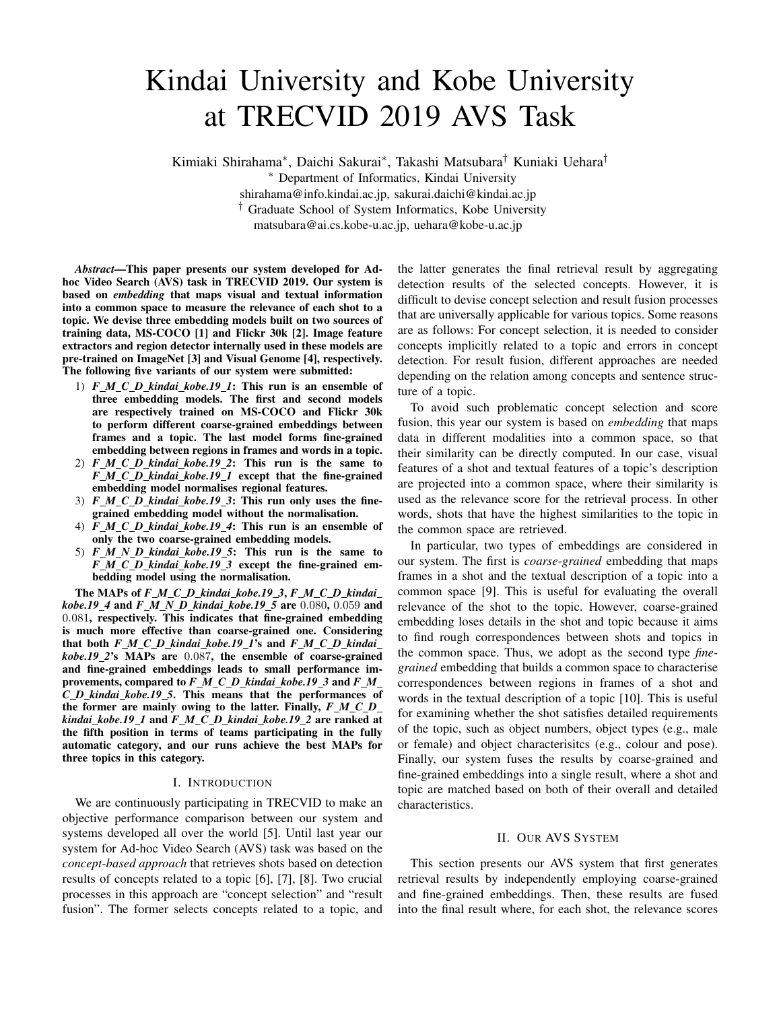# Kindai University and Kobe University at TRECVID 2019 AVS Task

Kimiaki Shirahama⇤, Daichi Sakurai⇤, Takashi Matsubara*†* Kuniaki Uehara*†*

⇤ Department of Informatics, Kindai University

shirahama@info.kindai.ac.jp, sakurai.daichi@kindai.ac.jp

*†* Graduate School of System Informatics, Kobe University

matsubara@ai.cs.kobe-u.ac.jp, uehara@kobe-u.ac.jp

*Abstract*—This paper presents our system developed for Adhoc Video Search (AVS) task in TRECVID 2019. Our system is based on *embedding* that maps visual and textual information into a common space to measure the relevance of each shot to a topic. We devise three embedding models built on two sources of training data, MS-COCO [1] and Flickr 30k [2]. Image feature extractors and region detector internally used in these models are pre-trained on ImageNet [3] and Visual Genome [4], respectively. The following five variants of our system were submitted:

- 1) *F M C D kindai kobe.19 1*: This run is an ensemble of three embedding models. The first and second models are respectively trained on MS-COCO and Flickr 30k to perform different coarse-grained embeddings between frames and a topic. The last model forms fine-grained embedding between regions in frames and words in a topic.
- 2) *F M C D kindai kobe.19 2*: This run is the same to *F M C D kindai kobe.19 1* except that the fine-grained embedding model normalises regional features.
- 3) *F M C D kindai kobe.19 3*: This run only uses the finegrained embedding model without the normalisation.
- 4) *F M C D kindai kobe.19 4*: This run is an ensemble of only the two coarse-grained embedding models.
- 5) *F M N D kindai kobe.19 5*: This run is the same to *F M C D kindai kobe.19 3* except the fine-grained embedding model using the normalisation.

The MAPs of *F M C D kindai kobe.19 3*, *F M C D kindai kobe.19 4* and *F M N D kindai kobe.19 5* are 0*.*080, 0*.*059 and 0*.*081, respectively. This indicates that fine-grained embedding is much more effective than coarse-grained one. Considering that both *F M C D kindai kobe.19 1*'s and *F M C D kindai kobe.19 2*'s MAPs are 0*.*087, the ensemble of coarse-grained and fine-grained embeddings leads to small performance improvements, compared to *F M C D kindai kobe.19 3* and *F M C D kindai kobe.19 5*. This means that the performances of the former are mainly owing to the latter. Finally, *F M C D kindai kobe.19 1* and *F M C D kindai kobe.19 2* are ranked at the fifth position in terms of teams participating in the fully automatic category, and our runs achieve the best MAPs for three topics in this category.

#### I. INTRODUCTION

We are continuously participating in TRECVID to make an objective performance comparison between our system and systems developed all over the world [5]. Until last year our system for Ad-hoc Video Search (AVS) task was based on the *concept-based approach* that retrieves shots based on detection results of concepts related to a topic [6], [7], [8]. Two crucial processes in this approach are "concept selection" and "result fusion". The former selects concepts related to a topic, and

the latter generates the final retrieval result by aggregating detection results of the selected concepts. However, it is difficult to devise concept selection and result fusion processes that are universally applicable for various topics. Some reasons are as follows: For concept selection, it is needed to consider concepts implicitly related to a topic and errors in concept detection. For result fusion, different approaches are needed depending on the relation among concepts and sentence structure of a topic.

To avoid such problematic concept selection and score fusion, this year our system is based on *embedding* that maps data in different modalities into a common space, so that their similarity can be directly computed. In our case, visual features of a shot and textual features of a topic's description are projected into a common space, where their similarity is used as the relevance score for the retrieval process. In other words, shots that have the highest similarities to the topic in the common space are retrieved.

In particular, two types of embeddings are considered in our system. The first is *coarse-grained* embedding that maps frames in a shot and the textual description of a topic into a common space [9]. This is useful for evaluating the overall relevance of the shot to the topic. However, coarse-grained embedding loses details in the shot and topic because it aims to find rough correspondences between shots and topics in the common space. Thus, we adopt as the second type *finegrained* embedding that builds a common space to characterise correspondences between regions in frames of a shot and words in the textual description of a topic [10]. This is useful for examining whether the shot satisfies detailed requirements of the topic, such as object numbers, object types (e.g., male or female) and object characterisitcs (e.g., colour and pose). Finally, our system fuses the results by coarse-grained and fine-grained embeddings into a single result, where a shot and topic are matched based on both of their overall and detailed characteristics.

#### II. OUR AVS SYSTEM

This section presents our AVS system that first generates retrieval results by independently employing coarse-grained and fine-grained embeddings. Then, these results are fused into the final result where, for each shot, the relevance scores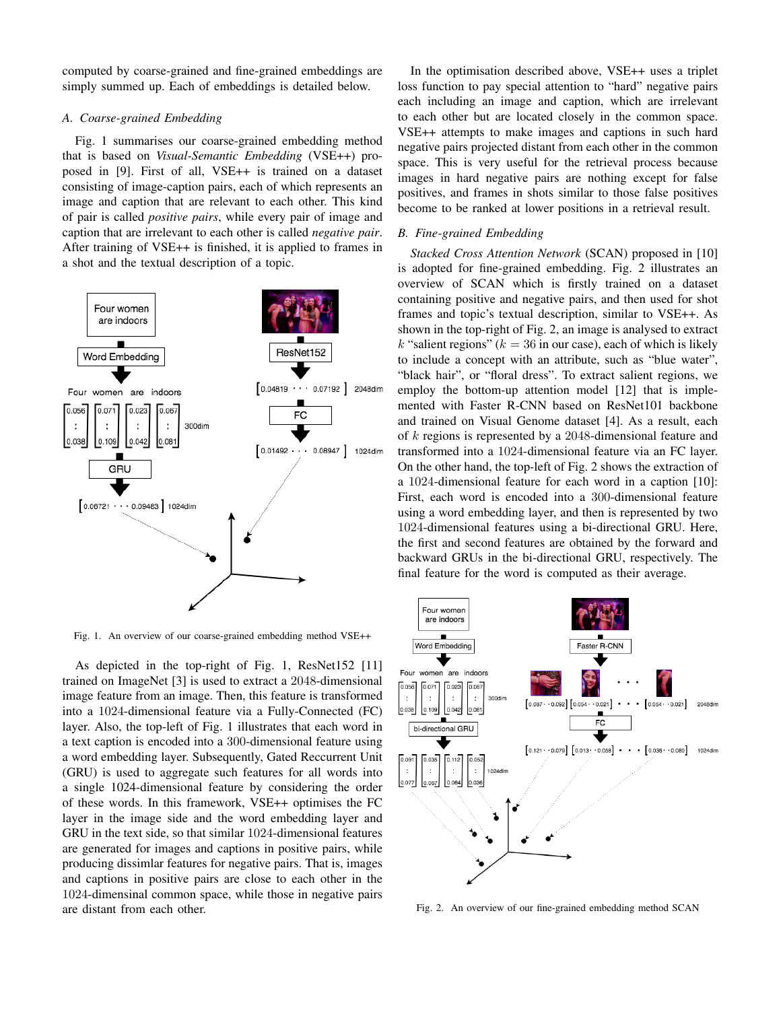computed by coarse-grained and fine-grained embeddings are simply summed up. Each of embeddings is detailed below.

### *A. Coarse-grained Embedding*

Fig. 1 summarises our coarse-grained embedding method that is based on *Visual-Semantic Embedding* (VSE++) proposed in [9]. First of all, VSE++ is trained on a dataset consisting of image-caption pairs, each of which represents an image and caption that are relevant to each other. This kind of pair is called *positive pairs*, while every pair of image and caption that are irrelevant to each other is called *negative pair*. After training of VSE++ is finished, it is applied to frames in a shot and the textual description of a topic.



Fig. 1. An overview of our coarse-grained embedding method VSE++

As depicted in the top-right of Fig. 1, ResNet152 [11] trained on ImageNet [3] is used to extract a 2048-dimensional image feature from an image. Then, this feature is transformed into a 1024-dimensional feature via a Fully-Connected (FC) layer. Also, the top-left of Fig. 1 illustrates that each word in a text caption is encoded into a 300-dimensional feature using a word embedding layer. Subsequently, Gated Reccurrent Unit (GRU) is used to aggregate such features for all words into a single 1024-dimensional feature by considering the order of these words. In this framework, VSE++ optimises the FC layer in the image side and the word embedding layer and GRU in the text side, so that similar 1024-dimensional features are generated for images and captions in positive pairs, while producing dissimlar features for negative pairs. That is, images and captions in positive pairs are close to each other in the 1024-dimensinal common space, while those in negative pairs are distant from each other.

In the optimisation described above, VSE++ uses a triplet loss function to pay special attention to "hard" negative pairs each including an image and caption, which are irrelevant to each other but are located closely in the common space. VSE++ attempts to make images and captions in such hard negative pairs projected distant from each other in the common space. This is very useful for the retrieval process because images in hard negative pairs are nothing except for false positives, and frames in shots similar to those false positives become to be ranked at lower positions in a retrieval result.

# *B. Fine-grained Embedding*

*Stacked Cross Attention Network* (SCAN) proposed in [10] is adopted for fine-grained embedding. Fig. 2 illustrates an overview of SCAN which is firstly trained on a dataset containing positive and negative pairs, and then used for shot frames and topic's textual description, similar to VSE++. As shown in the top-right of Fig. 2, an image is analysed to extract  $k$  "salient regions" ( $k = 36$  in our case), each of which is likely to include a concept with an attribute, such as "blue water", "black hair", or "floral dress". To extract salient regions, we employ the bottom-up attention model [12] that is implemented with Faster R-CNN based on ResNet101 backbone and trained on Visual Genome dataset [4]. As a result, each of *k* regions is represented by a 2048-dimensional feature and transformed into a 1024-dimensional feature via an FC layer. On the other hand, the top-left of Fig. 2 shows the extraction of a 1024-dimensional feature for each word in a caption [10]: First, each word is encoded into a 300-dimensional feature using a word embedding layer, and then is represented by two 1024-dimensional features using a bi-directional GRU. Here, the first and second features are obtained by the forward and backward GRUs in the bi-directional GRU, respectively. The final feature for the word is computed as their average.



Fig. 2. An overview of our fine-grained embedding method SCAN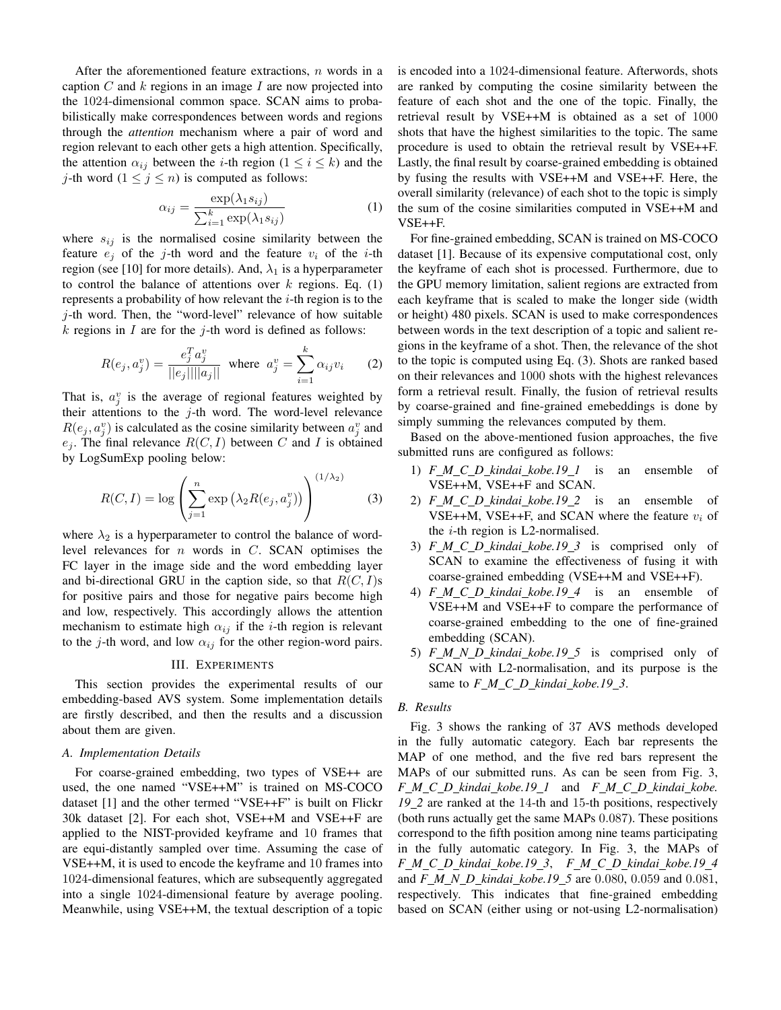After the aforementioned feature extractions, *n* words in a caption *C* and *k* regions in an image *I* are now projected into the 1024-dimensional common space. SCAN aims to probabilistically make correspondences between words and regions through the *attention* mechanism where a pair of word and region relevant to each other gets a high attention. Specifically, the attention  $\alpha_{ij}$  between the *i*-th region ( $1 \le i \le k$ ) and the *j*-th word  $(1 \le j \le n)$  is computed as follows:

$$
\alpha_{ij} = \frac{\exp(\lambda_1 s_{ij})}{\sum_{i=1}^k \exp(\lambda_1 s_{ij})}
$$
(1)

where *sij* is the normalised cosine similarity between the feature  $e_j$  of the *j*-th word and the feature  $v_i$  of the *i*-th region (see [10] for more details). And,  $\lambda_1$  is a hyperparameter to control the balance of attentions over *k* regions. Eq. (1) represents a probability of how relevant the *i*-th region is to the *j*-th word. Then, the "word-level" relevance of how suitable *k* regions in *I* are for the *j*-th word is defined as follows:

$$
R(e_j, a_j^v) = \frac{e_j^T a_j^v}{||e_j|| ||a_j||} \text{ where } a_j^v = \sum_{i=1}^k \alpha_{ij} v_i \qquad (2)
$$

That is,  $a_j^v$  is the average of regional features weighted by their attentions to the *j*-th word. The word-level relevance  $R(e_j, a_j^v)$  is calculated as the cosine similarity between  $a_j^v$  and  $e_j$ . The final relevance  $R(C, I)$  between *C* and *I* is obtained by LogSumExp pooling below:

$$
R(C, I) = \log \left(\sum_{j=1}^{n} \exp \left(\lambda_2 R(e_j, a_j^v)\right)\right)^{(1/\lambda_2)}
$$
 (3)

where  $\lambda_2$  is a hyperparameter to control the balance of wordlevel relevances for *n* words in *C*. SCAN optimises the FC layer in the image side and the word embedding layer and bi-directional GRU in the caption side, so that *R*(*C, I*)s for positive pairs and those for negative pairs become high and low, respectively. This accordingly allows the attention mechanism to estimate high  $\alpha_{ij}$  if the *i*-th region is relevant to the *j*-th word, and low  $\alpha_{ij}$  for the other region-word pairs.

### III. EXPERIMENTS

This section provides the experimental results of our embedding-based AVS system. Some implementation details are firstly described, and then the results and a discussion about them are given.

#### *A. Implementation Details*

For coarse-grained embedding, two types of VSE++ are used, the one named "VSE++M" is trained on MS-COCO dataset [1] and the other termed "VSE++F" is built on Flickr 30k dataset [2]. For each shot, VSE++M and VSE++F are applied to the NIST-provided keyframe and 10 frames that are equi-distantly sampled over time. Assuming the case of VSE++M, it is used to encode the keyframe and 10 frames into 1024-dimensional features, which are subsequently aggregated into a single 1024-dimensional feature by average pooling. Meanwhile, using VSE++M, the textual description of a topic is encoded into a 1024-dimensional feature. Afterwords, shots are ranked by computing the cosine similarity between the feature of each shot and the one of the topic. Finally, the retrieval result by VSE++M is obtained as a set of 1000 shots that have the highest similarities to the topic. The same procedure is used to obtain the retrieval result by VSE++F. Lastly, the final result by coarse-grained embedding is obtained by fusing the results with VSE++M and VSE++F. Here, the overall similarity (relevance) of each shot to the topic is simply the sum of the cosine similarities computed in VSE++M and VSE++F.

For fine-grained embedding, SCAN is trained on MS-COCO dataset [1]. Because of its expensive computational cost, only the keyframe of each shot is processed. Furthermore, due to the GPU memory limitation, salient regions are extracted from each keyframe that is scaled to make the longer side (width or height) 480 pixels. SCAN is used to make correspondences between words in the text description of a topic and salient regions in the keyframe of a shot. Then, the relevance of the shot to the topic is computed using Eq. (3). Shots are ranked based on their relevances and 1000 shots with the highest relevances form a retrieval result. Finally, the fusion of retrieval results by coarse-grained and fine-grained emebeddings is done by simply summing the relevances computed by them.

Based on the above-mentioned fusion approaches, the five submitted runs are configured as follows:

- 1) *F M C D kindai kobe.19 1* is an ensemble of VSE++M, VSE++F and SCAN.
- 2) *F M C D kindai kobe.19 2* is an ensemble of VSE++M, VSE++F, and SCAN where the feature  $v_i$  of the *i*-th region is L2-normalised.
- 3) *F M C D kindai kobe.19 3* is comprised only of SCAN to examine the effectiveness of fusing it with coarse-grained embedding (VSE++M and VSE++F).
- 4) *F M C D kindai kobe.19 4* is an ensemble of VSE++M and VSE++F to compare the performance of coarse-grained embedding to the one of fine-grained embedding (SCAN).
- 5) *F M N D kindai kobe.19 5* is comprised only of SCAN with L2-normalisation, and its purpose is the same to  $F_M_C_D_k$ *kindai\_kobe.19\_3.*

#### *B. Results*

Fig. 3 shows the ranking of 37 AVS methods developed in the fully automatic category. Each bar represents the MAP of one method, and the five red bars represent the MAPs of our submitted runs. As can be seen from Fig. 3, *F M C D kindai kobe.19 1* and *F M C D kindai kobe. 19 2* are ranked at the 14-th and 15-th positions, respectively (both runs actually get the same MAPs 0*.*087). These positions correspond to the fifth position among nine teams participating in the fully automatic category. In Fig. 3, the MAPs of *F M C D kindai kobe.19 3*, *F M C D kindai kobe.19 4* and *F M N D kindai kobe.19 5* are 0*.*080, 0*.*059 and 0*.*081, respectively. This indicates that fine-grained embedding based on SCAN (either using or not-using L2-normalisation)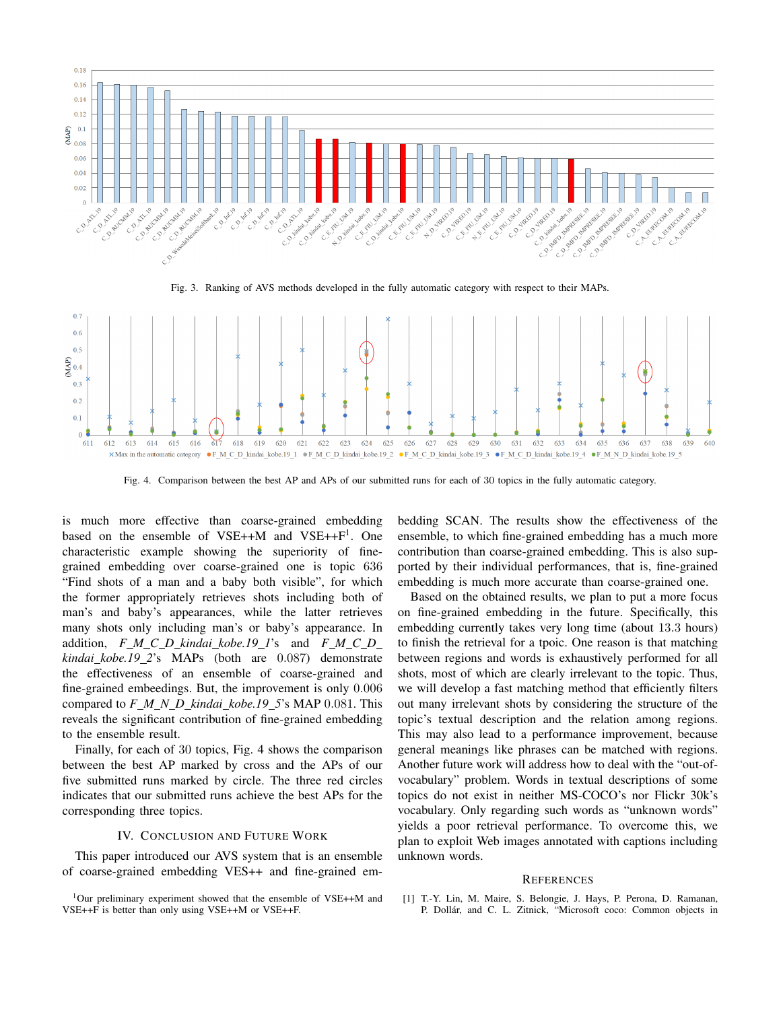

Fig. 3. Ranking of AVS methods developed in the fully automatic category with respect to their MAPs.



Fig. 4. Comparison between the best AP and APs of our submitted runs for each of 30 topics in the fully automatic category.

is much more effective than coarse-grained embedding based on the ensemble of  $VSE++M$  and  $VSE++F<sup>1</sup>$ . One characteristic example showing the superiority of finegrained embedding over coarse-grained one is topic 636 "Find shots of a man and a baby both visible", for which the former appropriately retrieves shots including both of man's and baby's appearances, while the latter retrieves many shots only including man's or baby's appearance. In addition, *F M C D kindai kobe.19 1*'s and *F M C D kindai kobe.19 2*'s MAPs (both are 0*.*087) demonstrate the effectiveness of an ensemble of coarse-grained and fine-grained embeedings. But, the improvement is only 0*.*006 compared to *F M N D kindai kobe.19 5*'s MAP 0*.*081. This reveals the significant contribution of fine-grained embedding to the ensemble result.

Finally, for each of 30 topics, Fig. 4 shows the comparison between the best AP marked by cross and the APs of our five submitted runs marked by circle. The three red circles indicates that our submitted runs achieve the best APs for the corresponding three topics.

# IV. CONCLUSION AND FUTURE WORK

This paper introduced our AVS system that is an ensemble of coarse-grained embedding VES++ and fine-grained embedding SCAN. The results show the effectiveness of the ensemble, to which fine-grained embedding has a much more contribution than coarse-grained embedding. This is also supported by their individual performances, that is, fine-grained embedding is much more accurate than coarse-grained one.

Based on the obtained results, we plan to put a more focus on fine-grained embedding in the future. Specifically, this embedding currently takes very long time (about 13*.*3 hours) to finish the retrieval for a tpoic. One reason is that matching between regions and words is exhaustively performed for all shots, most of which are clearly irrelevant to the topic. Thus, we will develop a fast matching method that efficiently filters out many irrelevant shots by considering the structure of the topic's textual description and the relation among regions. This may also lead to a performance improvement, because general meanings like phrases can be matched with regions. Another future work will address how to deal with the "out-ofvocabulary" problem. Words in textual descriptions of some topics do not exist in neither MS-COCO's nor Flickr 30k's vocabulary. Only regarding such words as "unknown words" yields a poor retrieval performance. To overcome this, we plan to exploit Web images annotated with captions including unknown words.

#### **REFERENCES**

[1] T.-Y. Lin, M. Maire, S. Belongie, J. Hays, P. Perona, D. Ramanan, P. Dollár, and C. L. Zitnick, "Microsoft coco: Common objects in

<sup>1</sup>Our preliminary experiment showed that the ensemble of VSE++M and VSE++F is better than only using VSE++M or VSE++F.